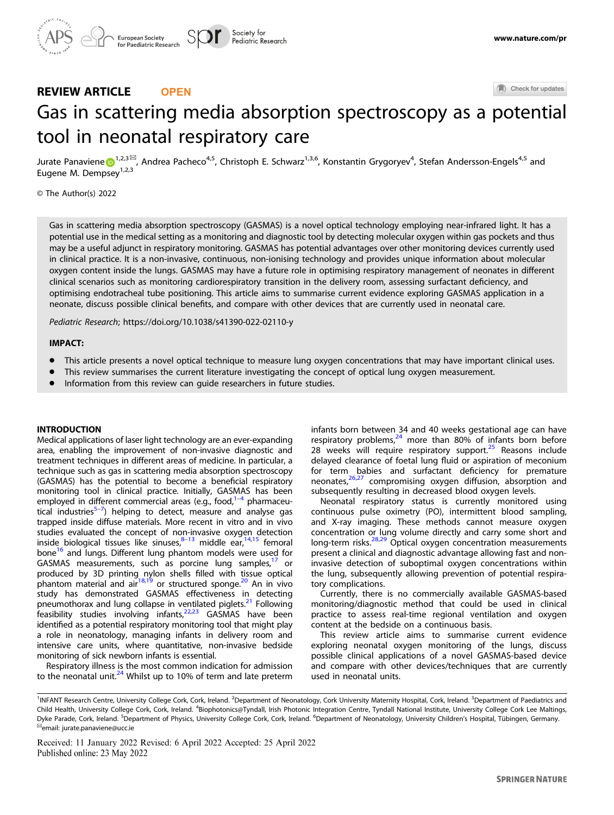# REVIEW ARTICLE **OPEN**

Check for updates

# Gas in scattering media absorption spectroscopy as a [p](http://crossmark.crossref.org/dialog/?doi=10.1038/s41390-022-02110-y&domain=pdf)otential tool in neonatal respiratory care

Jurate Panaviene $\bigoplus^{1,2,3}}$  $\bigoplus^{1,2,3}}$  $\bigoplus^{1,2,3}}$  Andrea Pacheco<sup>4,5</sup>, Christoph E. Schwarz<sup>1,3,6</sup>, Konstantin Grygoryev<sup>4</sup>, Stefan Andersson-Engels<sup>4,5</sup> and Eugene M. Dempsey<sup>1,2,3</sup>

# © The Author(s) 2022

Gas in scattering media absorption spectroscopy (GASMAS) is a novel optical technology employing near-infrared light. It has a potential use in the medical setting as a monitoring and diagnostic tool by detecting molecular oxygen within gas pockets and thus may be a useful adjunct in respiratory monitoring. GASMAS has potential advantages over other monitoring devices currently used in clinical practice. It is a non-invasive, continuous, non-ionising technology and provides unique information about molecular oxygen content inside the lungs. GASMAS may have a future role in optimising respiratory management of neonates in different clinical scenarios such as monitoring cardiorespiratory transition in the delivery room, assessing surfactant deficiency, and optimising endotracheal tube positioning. This article aims to summarise current evidence exploring GASMAS application in a neonate, discuss possible clinical benefits, and compare with other devices that are currently used in neonatal care.

Pediatric Research;<https://doi.org/10.1038/s41390-022-02110-y>

#### IMPACT:

- This article presents a novel optical technique to measure lung oxygen concentrations that may have important clinical uses.
- This review summarises the current literature investigating the concept of optical lung oxygen measurement.
- Information from this review can quide researchers in future studies.

#### INTRODUCTION

Medical applications of laser light technology are an ever-expanding area, enabling the improvement of non-invasive diagnostic and treatment techniques in different areas of medicine. In particular, a technique such as gas in scattering media absorption spectroscopy (GASMAS) has the potential to become a beneficial respiratory monitoring tool in clinical practice. Initially, GASMAS has been employed in different commercial areas (e.g., food, $1-4$  $1-4$  $1-4$  pharmaceu-tical industries<sup>5-[7](#page-5-0)</sup>) helping to detect, measure and analyse gas trapped inside diffuse materials. More recent in vitro and in vivo studies evaluated the concept of non-invasive oxygen detection inside biological tissues like sinuses, $8-13$  $8-13$  $8-13$  middle ear, $14,15$  $14,15$  $14,15$  femoral bone<sup>[16](#page-5-0)</sup> and lungs. Different lung phantom models were used for GASMAS measurements, such as porcine lung samples,<sup>17</sup> or produced by 3D printing nylon shells filled with tissue optical phantom material and air<sup>[18](#page-5-0),[19](#page-5-0)</sup> or structured sponge.<sup>[20](#page-5-0)</sup> An in vivo study has demonstrated GASMAS effectiveness in detecting pneumothorax and lung collapse in ventilated piglets.<sup>21</sup> Following feasibility studies involving infants,<sup>22,23</sup> GASMAS have been identified as a potential respiratory monitoring tool that might play a role in neonatology, managing infants in delivery room and intensive care units, where quantitative, non-invasive bedside monitoring of sick newborn infants is essential.

Respiratory illness is the most common indication for admission to the neonatal unit.<sup>24</sup> Whilst up to 10% of term and late preterm infants born between 34 and 40 weeks gestational age can have respiratory problems, $24$  more than 80% of infants born before 28 weeks will require respiratory support.<sup>[25](#page-5-0)</sup> Reasons include delayed clearance of foetal lung fluid or aspiration of meconium for term babies and surfactant deficiency for premature neonates,[26,27](#page-5-0) compromising oxygen diffusion, absorption and subsequently resulting in decreased blood oxygen levels.

Neonatal respiratory status is currently monitored using continuous pulse oximetry (PO), intermittent blood sampling, and X-ray imaging. These methods cannot measure oxygen concentration or lung volume directly and carry some short and long-term risks.<sup>[28](#page-5-0),[29](#page-5-0)</sup> Optical oxygen concentration measurements present a clinical and diagnostic advantage allowing fast and noninvasive detection of suboptimal oxygen concentrations within the lung, subsequently allowing prevention of potential respiratory complications.

Currently, there is no commercially available GASMAS-based monitoring/diagnostic method that could be used in clinical practice to assess real-time regional ventilation and oxygen content at the bedside on a continuous basis.

This review article aims to summarise current evidence exploring neonatal oxygen monitoring of the lungs, discuss possible clinical applications of a novel GASMAS-based device and compare with other devices/techniques that are currently used in neonatal units.

Received: 11 January 2022 Revised: 6 April 2022 Accepted: 25 April 2022 Published online: 23 May 2022

<sup>&</sup>lt;sup>1</sup>INFANT Research Centre, University College Cork, Cork, Ireland. <sup>2</sup>Department of Neonatology, Cork University Maternity Hospital, Cork, Ireland. <sup>3</sup>Department of Paediatrics and Child Health, University College Cork, Cork, Ireland. <sup>4</sup>Biophotonics@Tyndall, Irish Photonic Integration Centre, Tyndall National Institute, University College Cork Lee Maltings, Dyke Parade, Cork, Ireland. <sup>5</sup>Department of Physics, University College Cork, Cork, Ireland. <sup>6</sup>Department of Neonatology, University Children's Hospital, Tübingen, Germany.<br><sup>⊠</sup>email: [jurate.panaviene@ucc.ie](mailto:jurate.panaviene@ucc.ie)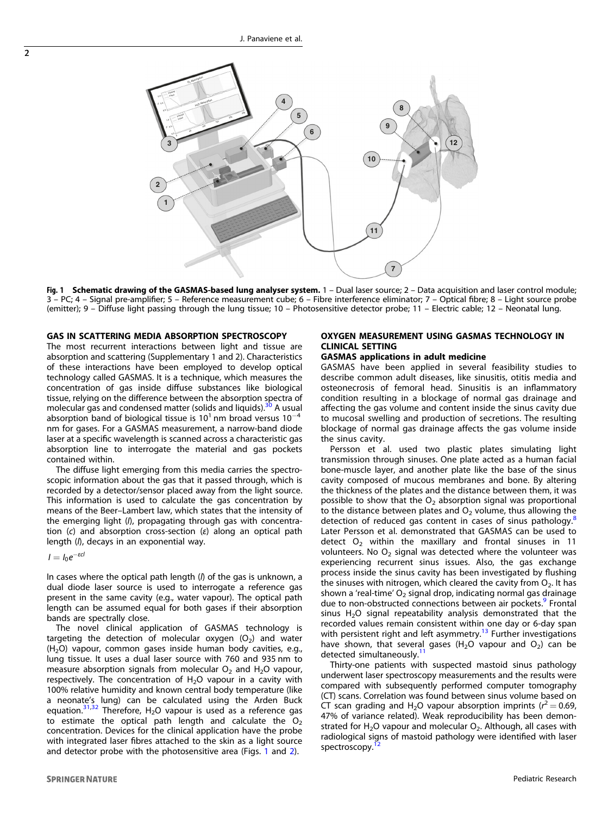

Fig. 1 Schematic drawing of the GASMAS-based lung analyser system. 1 - Dual laser source; 2 - Data acquisition and laser control module; 3 – PC; 4 – Signal pre-amplifier; 5 – Reference measurement cube; 6 – Fibre interference eliminator; 7 – Optical fibre; 8 – Light source probe (emitter); 9 – Diffuse light passing through the lung tissue; 10 – Photosensitive detector probe; 11 – Electric cable; 12 – Neonatal lung.

### GAS IN SCATTERING MEDIA ABSORPTION SPECTROSCOPY

The most recurrent interactions between light and tissue are absorption and scattering (Supplementary 1 and 2). Characteristics of these interactions have been employed to develop optical technology called GASMAS. It is a technique, which measures the concentration of gas inside diffuse substances like biological tissue, relying on the difference between the absorption spectra of molecular gas and condensed matter (solids and liquids).<sup>30</sup> A usual absorption band of biological tissue is 10<sup>1</sup> nm broad versus 10<sup>-4</sup> nm for gases. For a GASMAS measurement, a narrow-band diode laser at a specific wavelength is scanned across a characteristic gas absorption line to interrogate the material and gas pockets contained within.

The diffuse light emerging from this media carries the spectroscopic information about the gas that it passed through, which is recorded by a detector/sensor placed away from the light source. This information is used to calculate the gas concentration by means of the Beer–Lambert law, which states that the intensity of the emerging light (I), propagating through gas with concentration (c) and absorption cross-section (ε) along an optical path length (I), decays in an exponential way.

 $I = I_0 e^{-\varepsilon c l}$ 

In cases where the optical path length (I) of the gas is unknown, a dual diode laser source is used to interrogate a reference gas present in the same cavity (e.g., water vapour). The optical path length can be assumed equal for both gases if their absorption bands are spectrally close.

The novel clinical application of GASMAS technology is targeting the detection of molecular oxygen  $(O_2)$  and water  $(H<sub>2</sub>O)$  vapour, common gases inside human body cavities, e.g., lung tissue. It uses a dual laser source with 760 and 935 nm to measure absorption signals from molecular  $O<sub>2</sub>$  and H<sub>2</sub>O vapour, respectively. The concentration of  $H_2O$  vapour in a cavity with 100% relative humidity and known central body temperature (like a neonate's lung) can be calculated using the Arden Buck equation.<sup>[31](#page-5-0),[32](#page-5-0)</sup> Therefore, H<sub>2</sub>O vapour is used as a reference gas to estimate the optical path length and calculate the  $O_2$ concentration. Devices for the clinical application have the probe with integrated laser fibres attached to the skin as a light source and detector probe with the photosensitive area (Figs. 1 and [2\)](#page-2-0).

# **SPRINGER NATURE**

# OXYGEN MEASUREMENT USING GASMAS TECHNOLOGY IN CLINICAL SETTING

#### GASMAS applications in adult medicine

GASMAS have been applied in several feasibility studies to describe common adult diseases, like sinusitis, otitis media and osteonecrosis of femoral head. Sinusitis is an inflammatory condition resulting in a blockage of normal gas drainage and affecting the gas volume and content inside the sinus cavity due to mucosal swelling and production of secretions. The resulting blockage of normal gas drainage affects the gas volume inside the sinus cavity.

Persson et al. used two plastic plates simulating light transmission through sinuses. One plate acted as a human facial bone-muscle layer, and another plate like the base of the sinus cavity composed of mucous membranes and bone. By altering the thickness of the plates and the distance between them, it was possible to show that the  $O<sub>2</sub>$  absorption signal was proportional to the distance between plates and  $O<sub>2</sub>$  volume, thus allowing the detection of reduced gas content in cases of sinus pathology.<sup>[8](#page-5-0)</sup> Later Persson et al. demonstrated that GASMAS can be used to detect  $O<sub>2</sub>$  within the maxillary and frontal sinuses in 11 volunteers. No  $O<sub>2</sub>$  signal was detected where the volunteer was experiencing recurrent sinus issues. Also, the gas exchange process inside the sinus cavity has been investigated by flushing the sinuses with nitrogen, which cleared the cavity from  $O<sub>2</sub>$ . It has shown a 'real-time'  $O_2$  signal drop, indicating normal gas drainage due to non-obstructed connections between air pockets. Frontal sinus  $H<sub>2</sub>O$  signal repeatability analysis demonstrated that the recorded values remain consistent within one day or 6-day span with persistent right and left asymmetry.<sup>[13](#page-5-0)</sup> Further investigations have shown, that several gases (H<sub>2</sub>O vapour and  $O_2$ ) can be detected simultaneously.<sup>[11](#page-5-0)</sup>

Thirty-one patients with suspected mastoid sinus pathology underwent laser spectroscopy measurements and the results were compared with subsequently performed computer tomography (CT) scans. Correlation was found between sinus volume based on CT scan grading and H<sub>2</sub>O vapour absorption imprints ( $r^2 = 0.69$ , 47% of variance related). Weak reproducibility has been demonstrated for  $H_2O$  vapour and molecular  $O_2$ . Although, all cases with radiological signs of mastoid pathology were identified with laser spectroscopy.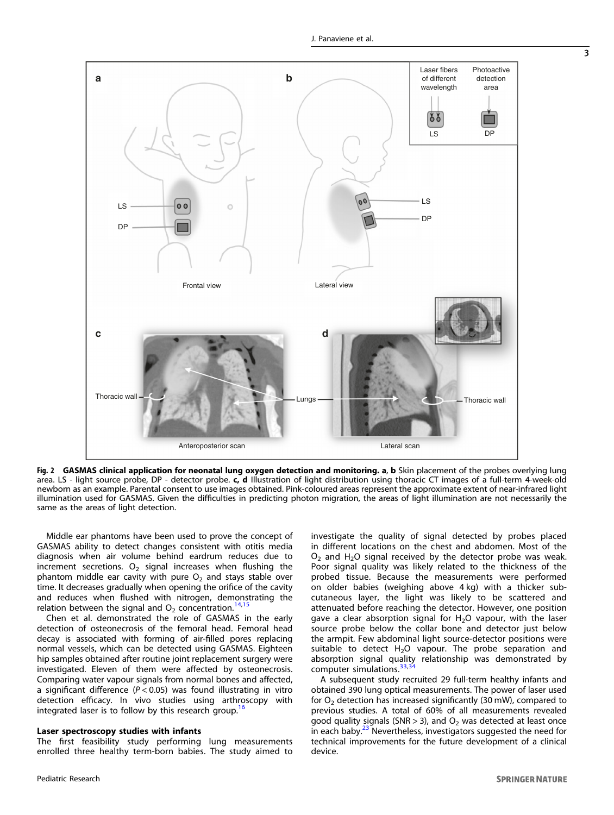<span id="page-2-0"></span>

Fig. 2 GASMAS clinical application for neonatal lung oxygen detection and monitoring. a, b Skin placement of the probes overlying lung area. LS - light source probe, DP - detector probe. c, d Illustration of light distribution using thoracic CT images of a full-term 4-week-old newborn as an example. Parental consent to use images obtained. Pink-coloured areas represent the approximate extent of near-infrared light illumination used for GASMAS. Given the difficulties in predicting photon migration, the areas of light illumination are not necessarily the same as the areas of light detection.

Middle ear phantoms have been used to prove the concept of GASMAS ability to detect changes consistent with otitis media diagnosis when air volume behind eardrum reduces due to increment secretions.  $O_2$  signal increases when flushing the phantom middle ear cavity with pure  $O<sub>2</sub>$  and stays stable over time. It decreases gradually when opening the orifice of the cavity and reduces when flushed with nitrogen, demonstrating the relation between the signal and  $O_2$  concentration.<sup>[14,15](#page-5-0)</sup>

Chen et al. demonstrated the role of GASMAS in the early detection of osteonecrosis of the femoral head. Femoral head decay is associated with forming of air-filled pores replacing normal vessels, which can be detected using GASMAS. Eighteen hip samples obtained after routine joint replacement surgery were investigated. Eleven of them were affected by osteonecrosis. Comparing water vapour signals from normal bones and affected, a significant difference ( $P < 0.05$ ) was found illustrating in vitro detection efficacy. In vivo studies using arthroscopy with integrated laser is to follow by this research group.<sup>[16](#page-5-0)</sup>

#### Laser spectroscopy studies with infants

The first feasibility study performing lung measurements enrolled three healthy term-born babies. The study aimed to investigate the quality of signal detected by probes placed in different locations on the chest and abdomen. Most of the  $O<sub>2</sub>$  and H<sub>2</sub>O signal received by the detector probe was weak. Poor signal quality was likely related to the thickness of the probed tissue. Because the measurements were performed on older babies (weighing above 4 kg) with a thicker subcutaneous layer, the light was likely to be scattered and attenuated before reaching the detector. However, one position gave a clear absorption signal for  $H_2O$  vapour, with the laser source probe below the collar bone and detector just below the armpit. Few abdominal light source-detector positions were suitable to detect  $H<sub>2</sub>O$  vapour. The probe separation and absorption signal quality relationship was demonstrated by computer simulations.<sup>33,3</sup>

A subsequent study recruited 29 full-term healthy infants and obtained 390 lung optical measurements. The power of laser used for  $O<sub>2</sub>$  detection has increased significantly (30 mW), compared to previous studies. A total of 60% of all measurements revealed good quality signals (SNR > 3), and  $O<sub>2</sub>$  was detected at least once in each baby.<sup>[23](#page-5-0)</sup> Nevertheless, investigators suggested the need for technical improvements for the future development of a clinical device.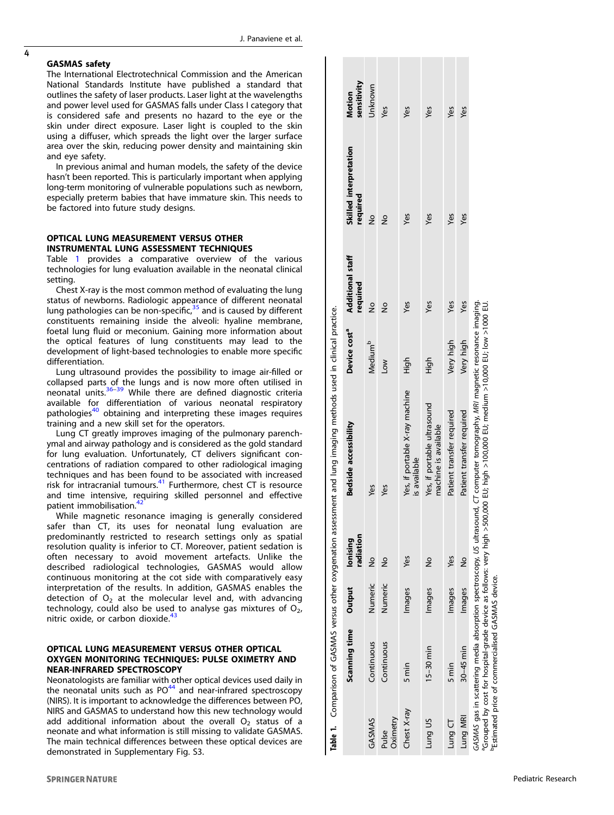#### GASMAS safety

4

The International Electrotechnical Commission and the American National Standards Institute have published a standard that outlines the safety of laser products. Laser light at the wavelengths and power level used for GASMAS falls under Class I category that is considered safe and presents no hazard to the eye or the skin under direct exposure. Laser light is coupled to the skin using a diffuser, which spreads the light over the larger surface area over the skin, reducing power density and maintaining skin and eye safety.

In previous animal and human models, the safety of the device hasn 't been reported. This is particularly important when applying long-term monitoring of vulnerable populations such as newborn, especially preterm babies that have immature skin. This needs to be factored into future study designs.

# OPTICAL LUNG MEASUREMENT VERSUS OTHER INSTRUMENTAL LUNG ASSESSMENT TECHNIQUES

Table 1 provides a comparative overview of the various technologies for lung evaluation available in the neonatal clinical setting.

Chest X-ray is the most common method of evaluating the lung status of newborns. Radiologic appearance of different neonatal lung pathologies can be non-specific,<sup>[35](#page-6-0)</sup> and is caused by different constituents remaining inside the alveoli: hyaline membrane, foetal lung fluid or meconium. Gaining more information about the optical features of lung constituents may lead to the development of light-based technologies to enable more specific differentiation.

Lung ultrasound provides the possibility to image air-filled or collapsed parts of the lungs and is now more often utilised in neonatal units.<sup>[36](#page-6-0)-[39](#page-6-0)</sup> While there are defined diagnostic criteria available for differentiation of various neonatal respiratory pathologies<sup>40</sup> obtaining and interpreting these images requires training and a new skill set for the operators.

Lung CT greatly improves imaging of the pulmonary parenchymal and airway pathology and is considered as the gold standard for lung evaluation. Unfortunately, CT delivers signi ficant concentrations of radiation compared to other radiological imaging techniques and has been found to be associated with increased risk for intracranial tumours. $41$  Furthermore, chest CT is resource and time intensive, requiring skilled personnel and effective patient immobilisation.<sup>4</sup>

While magnetic resonance imaging is generally considered safer than CT, its uses for neonatal lung evaluation are predominantly restricted to research settings only as spatial resolution quality is inferior to CT. Moreover, patient sedation is often necessary to avoid movement artefacts. Unlike the described radiological technologies, GASMAS would allow continuous monitoring at the cot side with comparatively easy interpretation of the results. In addition, GASMAS enables the detection of O <sup>2</sup> at the molecular level and, with advancing technology, could also be used to analyse gas mixtures of  $\mathrm{O}_2$ , nitric oxide, or carbon dioxide.<sup>[43](#page-6-0)</sup>

# OPTICAL LUNG MEASUREMENT VERSUS OTHER OPTICAL OXYGEN MONITORING TECHNIQUES: PULSE OXIMETRY AND NEAR-INFRARED SPECTROSCOPY

Neonatologists are familiar with other optical devices used daily in the neonatal units such as  $PO^{44}$  $PO^{44}$  $PO^{44}$  and near-infrared spectroscopy (NIRS). It is important to acknowledge the differences between PO, NIRS and GASMAS to understand how this new technology would add additional information about the overall O <sup>2</sup> status of a neonate and what information is still missing to validate GASMAS. The main technical differences between these optical devices are demonstrated in Supplementary Fig. S3.

|                   |                                                               |         |                       | Table 1. Comparison of GASMAS versus other oxygenation assessment and lung imaging methods used in clinical practice.                                                                                                                                              |                          |                                     |                                    |                       |
|-------------------|---------------------------------------------------------------|---------|-----------------------|--------------------------------------------------------------------------------------------------------------------------------------------------------------------------------------------------------------------------------------------------------------------|--------------------------|-------------------------------------|------------------------------------|-----------------------|
|                   | Scanning time                                                 | Output  | radiation<br>lonising | Bedside accessibility                                                                                                                                                                                                                                              | Device cost <sup>a</sup> | <b>Additional staff</b><br>required | Skilled interpretation<br>required | sensitivity<br>Motion |
| GASMAS            | Continuous                                                    | Numeric | $\frac{1}{2}$         | yes                                                                                                                                                                                                                                                                | Medium <sup>b</sup>      | $\frac{1}{2}$                       | $\frac{1}{2}$                      | Jnknown               |
| Oximetry<br>Pulse | Continuous                                                    | Numeric | $\frac{1}{2}$         | Yes                                                                                                                                                                                                                                                                | <b>NOT</b>               | $\frac{1}{2}$                       | $\frac{1}{2}$                      | у́е                   |
| Chest X-ray       | 5 min                                                         | Images  | Yes                   | Yes, if portable X-ray machine<br>is available                                                                                                                                                                                                                     | High                     | yes                                 | Yes                                | yes                   |
| Lung US           | $15-30$ min                                                   | Images  | $\frac{1}{2}$         | Yes, if portable ultrasound<br>machine is available                                                                                                                                                                                                                | High                     | Yes                                 | Yes                                | Yes                   |
| Lung CT           | 5 min                                                         | Images  | Yes                   | Patient transfer required                                                                                                                                                                                                                                          | Very high                | Yes                                 | yes                                | yes                   |
| Lung MRI          | $30-45$ min                                                   | Images  | $\frac{1}{2}$         | Patient transfer required                                                                                                                                                                                                                                          | Very high                | yes                                 | yes                                | yes                   |
|                   | <sup>D</sup> Estimated price of commercialised GASMAS device. |         |                       | GASMAS gas in scattering media absorption spectroscopy, US ultrasound, CT computer tomography, MRI magnetic resonance imaging.<br>°Grouped by cost for hospital-grade device as follows: very high >500,000 EU; high >100,000 EU; medium >10,000 EU; low >1000 EU. |                          |                                     |                                    |                       |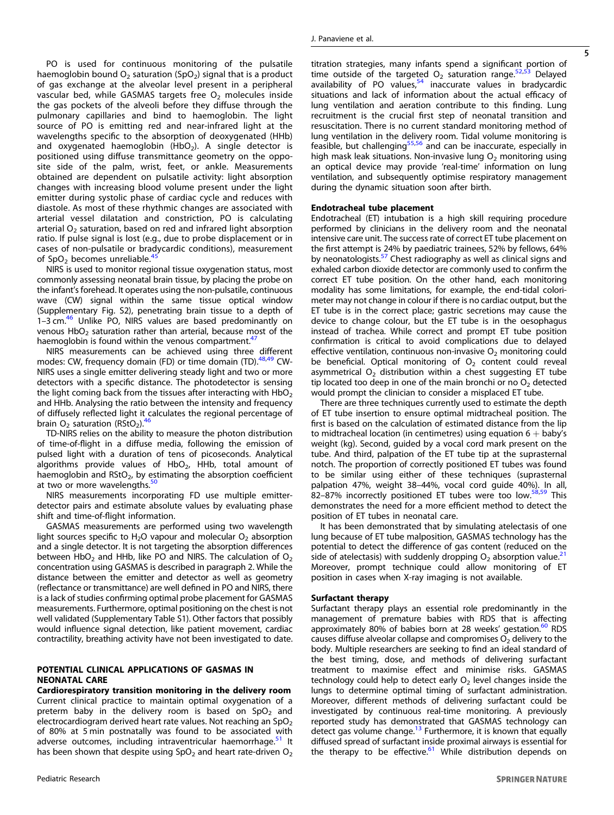PO is used for continuous monitoring of the pulsatile haemoglobin bound  $O_2$  saturation (SpO<sub>2</sub>) signal that is a product of gas exchange at the alveolar level present in a peripheral vascular bed, while GASMAS targets free  $O<sub>2</sub>$  molecules inside the gas pockets of the alveoli before they diffuse through the pulmonary capillaries and bind to haemoglobin. The light source of PO is emitting red and near-infrared light at the wavelengths specific to the absorption of deoxygenated (HHb) and oxygenated haemoglobin  $(HbO<sub>2</sub>)$ . A single detector is positioned using diffuse transmittance geometry on the opposite side of the palm, wrist, feet, or ankle. Measurements obtained are dependent on pulsatile activity: light absorption changes with increasing blood volume present under the light emitter during systolic phase of cardiac cycle and reduces with diastole. As most of these rhythmic changes are associated with arterial vessel dilatation and constriction, PO is calculating arterial  $O<sub>2</sub>$  saturation, based on red and infrared light absorption ratio. If pulse signal is lost (e.g., due to probe displacement or in cases of non-pulsatile or bradycardic conditions), measurement of  $SpO<sub>2</sub>$  becomes unreliable.<sup>[45](#page-6-0)</sup>

NIRS is used to monitor regional tissue oxygenation status, most commonly assessing neonatal brain tissue, by placing the probe on the infant's forehead. It operates using the non-pulsatile, continuous wave (CW) signal within the same tissue optical window (Supplementary Fig. S2), penetrating brain tissue to a depth of 1–3 cm. $46$  Unlike PO, NIRS values are based predominantly on venous  $HbO<sub>2</sub>$  saturation rather than arterial, because most of the haemoglobin is found within the venous compartment.<sup>4</sup>

NIRS measurements can be achieved using three different modes: CW, frequency domain (FD) or time domain (TD).<sup>[48,49](#page-6-0)</sup> CW-NIRS uses a single emitter delivering steady light and two or more detectors with a specific distance. The photodetector is sensing the light coming back from the tissues after interacting with  $HbO<sub>2</sub>$ and HHb. Analysing the ratio between the intensity and frequency of diffusely reflected light it calculates the regional percentage of brain  $O_2$  saturation (RStO<sub>2</sub>).<sup>4</sup>

TD-NIRS relies on the ability to measure the photon distribution of time-of-flight in a diffuse media, following the emission of pulsed light with a duration of tens of picoseconds. Analytical algorithms provide values of  $HbO<sub>2</sub>$ , HHb, total amount of haemoglobin and  $RStO<sub>2</sub>$ , by estimating the absorption coefficient at two or more wavelengths.<sup>[50](#page-6-0)</sup>

NIRS measurements incorporating FD use multiple emitterdetector pairs and estimate absolute values by evaluating phase shift and time-of-flight information.

GASMAS measurements are performed using two wavelength light sources specific to  $H_2O$  vapour and molecular  $O_2$  absorption and a single detector. It is not targeting the absorption differences between HbO<sub>2</sub> and HHb, like PO and NIRS. The calculation of  $O<sub>2</sub>$ concentration using GASMAS is described in paragraph 2. While the distance between the emitter and detector as well as geometry (reflectance or transmittance) are well defined in PO and NIRS, there is a lack of studies confirming optimal probe placement for GASMAS measurements. Furthermore, optimal positioning on the chest is not well validated (Supplementary Table S1). Other factors that possibly would influence signal detection, like patient movement, cardiac contractility, breathing activity have not been investigated to date.

# POTENTIAL CLINICAL APPLICATIONS OF GASMAS IN NEONATAL CARE

Cardiorespiratory transition monitoring in the delivery room Current clinical practice to maintain optimal oxygenation of a preterm baby in the delivery room is based on  $SpO<sub>2</sub>$  and electrocardiogram derived heart rate values. Not reaching an  $SpO<sub>2</sub>$ of 80% at 5 min postnatally was found to be associated with adverse outcomes, including intraventricular haemorrhage.<sup>[51](#page-6-0)</sup> It has been shown that despite using  $SpO<sub>2</sub>$  and heart rate-driven  $O<sub>2</sub>$  titration strategies, many infants spend a significant portion of time outside of the targeted  $O<sub>2</sub>$  saturation range.<sup>[52,53](#page-6-0)</sup> Delayed availability of PO values, $54$  inaccurate values in bradycardic situations and lack of information about the actual efficacy of lung ventilation and aeration contribute to this finding. Lung recruitment is the crucial first step of neonatal transition and resuscitation. There is no current standard monitoring method of lung ventilation in the delivery room. Tidal volume monitoring is feasible, but challenging<sup>[55,56](#page-6-0)</sup> and can be inaccurate, especially in high mask leak situations. Non-invasive lung  $O<sub>2</sub>$  monitoring using an optical device may provide 'real-time' information on lung ventilation, and subsequently optimise respiratory management during the dynamic situation soon after birth.

#### Endotracheal tube placement

Endotracheal (ET) intubation is a high skill requiring procedure performed by clinicians in the delivery room and the neonatal intensive care unit. The success rate of correct ET tube placement on the first attempt is 24% by paediatric trainees, 52% by fellows, 64% by neonatologists.<sup>[57](#page-6-0)</sup> Chest radiography as well as clinical signs and exhaled carbon dioxide detector are commonly used to confirm the correct ET tube position. On the other hand, each monitoring modality has some limitations, for example, the end-tidal colorimeter may not change in colour if there is no cardiac output, but the ET tube is in the correct place; gastric secretions may cause the device to change colour, but the ET tube is in the oesophagus instead of trachea. While correct and prompt ET tube position confirmation is critical to avoid complications due to delayed effective ventilation, continuous non-invasive  $O<sub>2</sub>$  monitoring could be beneficial. Optical monitoring of  $O<sub>2</sub>$  content could reveal asymmetrical  $O<sub>2</sub>$  distribution within a chest suggesting ET tube tip located too deep in one of the main bronchi or no  $O<sub>2</sub>$  detected would prompt the clinician to consider a misplaced ET tube.

There are three techniques currently used to estimate the depth of ET tube insertion to ensure optimal midtracheal position. The first is based on the calculation of estimated distance from the lip to midtracheal location (in centimetres) using equation  $6 +$  baby's weight (kg). Second, guided by a vocal cord mark present on the tube. And third, palpation of the ET tube tip at the suprasternal notch. The proportion of correctly positioned ET tubes was found to be similar using either of these techniques (suprasternal palpation 47%, weight 38–44%, vocal cord guide 40%). In all, 82-87% incorrectly positioned ET tubes were too low.<sup>[58,59](#page-6-0)</sup> This demonstrates the need for a more efficient method to detect the position of ET tubes in neonatal care.

It has been demonstrated that by simulating atelectasis of one lung because of ET tube malposition, GASMAS technology has the potential to detect the difference of gas content (reduced on the side of atelectasis) with suddenly dropping  $O_2$  absorption value.<sup>[21](#page-5-0)</sup> Moreover, prompt technique could allow monitoring of ET position in cases when X-ray imaging is not available.

#### Surfactant therapy

Surfactant therapy plays an essential role predominantly in the management of premature babies with RDS that is affecting approximately 80% of babies born at 28 weeks' gestation.<sup>[60](#page-6-0)</sup> RDS causes diffuse alveolar collapse and compromises  $O<sub>2</sub>$  delivery to the body. Multiple researchers are seeking to find an ideal standard of the best timing, dose, and methods of delivering surfactant treatment to maximise effect and minimise risks. GASMAS technology could help to detect early  $O<sub>2</sub>$  level changes inside the lungs to determine optimal timing of surfactant administration. Moreover, different methods of delivering surfactant could be investigated by continuous real-time monitoring. A previously reported study has demonstrated that GASMAS technology can detect gas volume change. $13$  Furthermore, it is known that equally diffused spread of surfactant inside proximal airways is essential for the therapy to be effective. $61$  While distribution depends on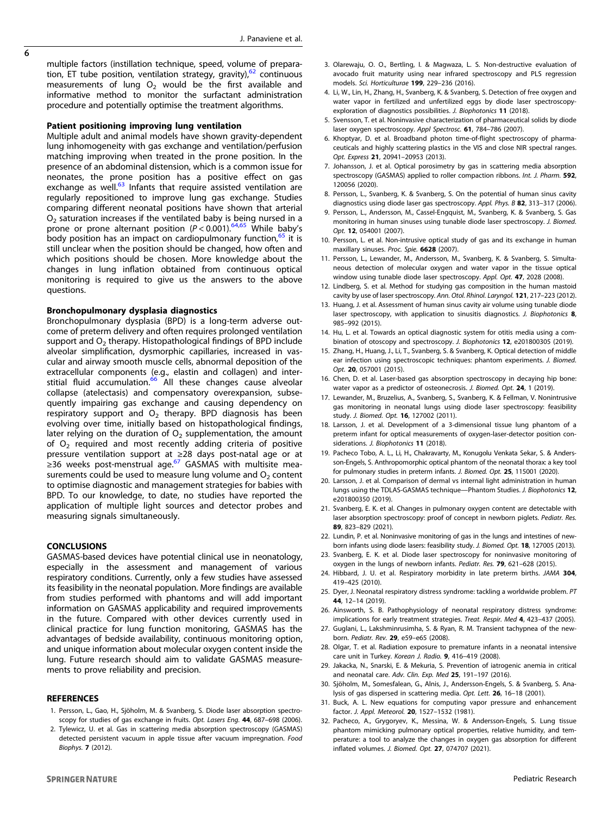J. Panaviene et al.

<span id="page-5-0"></span> $\overline{6}$ 

multiple factors (instillation technique, speed, volume of preparation, ET tube position, ventilation strategy, gravity), $62$  continuous measurements of lung  $O_2$  would be the first available and informative method to monitor the surfactant administration procedure and potentially optimise the treatment algorithms.

#### Patient positioning improving lung ventilation

Multiple adult and animal models have shown gravity-dependent lung inhomogeneity with gas exchange and ventilation/perfusion matching improving when treated in the prone position. In the presence of an abdominal distension, which is a common issue for neonates, the prone position has a positive effect on gas exchange as well. $63$  Infants that require assisted ventilation are regularly repositioned to improve lung gas exchange. Studies comparing different neonatal positions have shown that arterial  $O<sub>2</sub>$  saturation increases if the ventilated baby is being nursed in a prone or prone alternant position ( $P < 0.001$ ).<sup>[64,65](#page-6-0)</sup> While baby's body position has an impact on cardiopulmonary function, <sup>[65](#page-6-0)</sup> it is still unclear when the position should be changed, how often and which positions should be chosen. More knowledge about the changes in lung inflation obtained from continuous optical monitoring is required to give us the answers to the above questions.

#### Bronchopulmonary dysplasia diagnostics

Bronchopulmonary dysplasia (BPD) is a long-term adverse outcome of preterm delivery and often requires prolonged ventilation support and  $O<sub>2</sub>$  therapy. Histopathological findings of BPD include alveolar simplification, dysmorphic capillaries, increased in vascular and airway smooth muscle cells, abnormal deposition of the extracellular components (e.g., elastin and collagen) and inter-stitial fluid accumulation.<sup>[66](#page-6-0)</sup> All these changes cause alveolar collapse (atelectasis) and compensatory overexpansion, subsequently impairing gas exchange and causing dependency on respiratory support and  $O<sub>2</sub>$  therapy. BPD diagnosis has been evolving over time, initially based on histopathological findings, later relying on the duration of  $O<sub>2</sub>$  supplementation, the amount of  $O<sub>2</sub>$  required and most recently adding criteria of positive pressure ventilation support at ≥28 days post-natal age or at  $\geq$ 36 weeks post-menstrual age.<sup>[67](#page-6-0)</sup> GASMAS with multisite measurements could be used to measure lung volume and  $O<sub>2</sub>$  content to optimise diagnostic and management strategies for babies with BPD. To our knowledge, to date, no studies have reported the application of multiple light sources and detector probes and measuring signals simultaneously.

#### **CONCLUSIONS**

GASMAS-based devices have potential clinical use in neonatology, especially in the assessment and management of various respiratory conditions. Currently, only a few studies have assessed its feasibility in the neonatal population. More findings are available from studies performed with phantoms and will add important information on GASMAS applicability and required improvements in the future. Compared with other devices currently used in clinical practice for lung function monitoring, GASMAS has the advantages of bedside availability, continuous monitoring option, and unique information about molecular oxygen content inside the lung. Future research should aim to validate GASMAS measurements to prove reliability and precision.

#### REFERENCES

- 1. Persson, L., Gao, H., Sjöholm, M. & Svanberg, S. Diode laser absorption spectroscopy for studies of gas exchange in fruits. Opt. Lasers Eng. 44, 687-698 (2006).
- 2. Tylewicz, U. et al. Gas in scattering media absorption spectroscopy (GASMAS) detected persistent vacuum in apple tissue after vacuum impregnation. Food Biophys. 7 (2012).
- 3. Olarewaju, O. O., Bertling, I. & Magwaza, L. S. Non-destructive evaluation of avocado fruit maturity using near infrared spectroscopy and PLS regression models. Sci. Horticulturae 199, 229–236 (2016).
- 4. Li, W., Lin, H., Zhang, H., Svanberg, K. & Svanberg, S. Detection of free oxygen and water vapor in fertilized and unfertilized eggs by diode laser spectroscopyexploration of diagnostics possibilities. J. Biophotonics 11 (2018).
- 5. Svensson, T. et al. Noninvasive characterization of pharmaceutical solids by diode laser oxygen spectroscopy. Appl Spectrosc. 61, 784–786 (2007).
- 6. Khoptyar, D. et al. Broadband photon time-of-flight spectroscopy of pharmaceuticals and highly scattering plastics in the VIS and close NIR spectral ranges. Opt. Express 21, 20941–20953 (2013).
- 7. Johansson, J. et al. Optical porosimetry by gas in scattering media absorption spectroscopy (GASMAS) applied to roller compaction ribbons. Int. J. Pharm. 592, 120056 (2020).
- 8. Persson, L., Svanberg, K. & Svanberg, S. On the potential of human sinus cavity diagnostics using diode laser gas spectroscopy. Appl. Phys. B 82, 313-317 (2006).
- 9. Persson, L., Andersson, M., Cassel-Engquist, M., Svanberg, K. & Svanberg, S. Gas monitoring in human sinuses using tunable diode laser spectroscopy. J. Biomed. Opt. 12, 054001 (2007).
- 10. Persson, L. et al. Non-intrusive optical study of gas and its exchange in human maxillary sinuses. Proc. Spie. 6628 (2007).
- 11. Persson, L., Lewander, M., Andersson, M., Svanberg, K. & Svanberg, S. Simultaneous detection of molecular oxygen and water vapor in the tissue optical window using tunable diode laser spectroscopy. Appl. Opt. 47, 2028 (2008).
- 12. Lindberg, S. et al. Method for studying gas composition in the human mastoid cavity by use of laser spectroscopy. Ann. Otol. Rhinol. Laryngol. 121, 217–223 (2012).
- 13. Huang, J. et al. Assessment of human sinus cavity air volume using tunable diode laser spectroscopy, with application to sinusitis diagnostics. J. Biophotonics 8, 985–992 (2015).
- 14. Hu, L. et al. Towards an optical diagnostic system for otitis media using a combination of otoscopy and spectroscopy. J. Biophotonics 12, e201800305 (2019).
- 15. Zhang, H., Huang, J., Li, T., Svanberg, S. & Svanberg, K. Optical detection of middle ear infection using spectroscopic techniques: phantom experiments. J. Biomed. Opt. 20, 057001 (2015).
- 16. Chen, D. et al. Laser-based gas absorption spectroscopy in decaying hip bone: water vapor as a predictor of osteonecrosis. J. Biomed. Opt. 24, 1 (2019).
- 17. Lewander, M., Bruzelius, A., Svanberg, S., Svanberg, K. & Fellman, V. Nonintrusive gas monitoring in neonatal lungs using diode laser spectroscopy: feasibility study. J. Biomed. Opt. 16, 127002 (2011).
- 18. Larsson, J. et al. Development of a 3-dimensional tissue lung phantom of a preterm infant for optical measurements of oxygen-laser-detector position considerations. J. Biophotonics 11 (2018).
- 19. Pacheco Tobo, A. L., Li, H., Chakravarty, M., Konugolu Venkata Sekar, S. & Andersson-Engels, S. Anthropomorphic optical phantom of the neonatal thorax: a key tool for pulmonary studies in preterm infants. J. Biomed. Opt. 25, 115001 (2020).
- 20. Larsson, J. et al. Comparison of dermal vs internal light administration in human lungs using the TDLAS‐GASMAS technique—Phantom Studies. J. Biophotonics 12, e201800350 (2019).
- 21. Svanberg, E. K. et al. Changes in pulmonary oxygen content are detectable with laser absorption spectroscopy: proof of concept in newborn piglets. Pediatr. Res. 89, 823–829 (2021).
- 22. Lundin, P. et al. Noninvasive monitoring of gas in the lungs and intestines of newborn infants using diode lasers: feasibility study. J. Biomed. Opt. 18, 127005 (2013).
- 23. Svanberg, E. K. et al. Diode laser spectroscopy for noninvasive monitoring of oxygen in the lungs of newborn infants. Pediatr. Res. 79, 621–628 (2015).
- 24. Hibbard, J. U. et al. Respiratory morbidity in late preterm births. JAMA 304, 419–425 (2010).
- 25. Dyer, J. Neonatal respiratory distress syndrome: tackling a worldwide problem. PT 44, 12–14 (2019).
- 26. Ainsworth, S. B. Pathophysiology of neonatal respiratory distress syndrome: implications for early treatment strategies. Treat. Respir. Med 4, 423–437 (2005).
- 27. Guglani, L., Lakshminrusimha, S. & Ryan, R. M. Transient tachypnea of the newborn. Pediatr. Rev. 29, e59–e65 (2008).
- 28. Olgar, T. et al. Radiation exposure to premature infants in a neonatal intensive care unit in Turkey. Korean J. Radio. 9, 416–419 (2008).
- 29. Jakacka, N., Snarski, E. & Mekuria, S. Prevention of iatrogenic anemia in critical and neonatal care. Adv. Clin. Exp. Med 25, 191–197 (2016).
- 30. Sjöholm, M., Somesfalean, G., Alnis, J., Andersson-Engels, S. & Svanberg, S. Analysis of gas dispersed in scattering media. Opt. Lett. 26, 16–18 (2001).
- 31. Buck, A. L. New equations for computing vapor pressure and enhancement factor. J. Appl. Meteorol. 20, 1527–1532 (1981).
- 32. Pacheco, A., Grygoryev, K., Messina, W. & Andersson-Engels, S. Lung tissue phantom mimicking pulmonary optical properties, relative humidity, and temperature: a tool to analyze the changes in oxygen gas absorption for different inflated volumes. J. Biomed. Opt. 27, 074707 (2021).